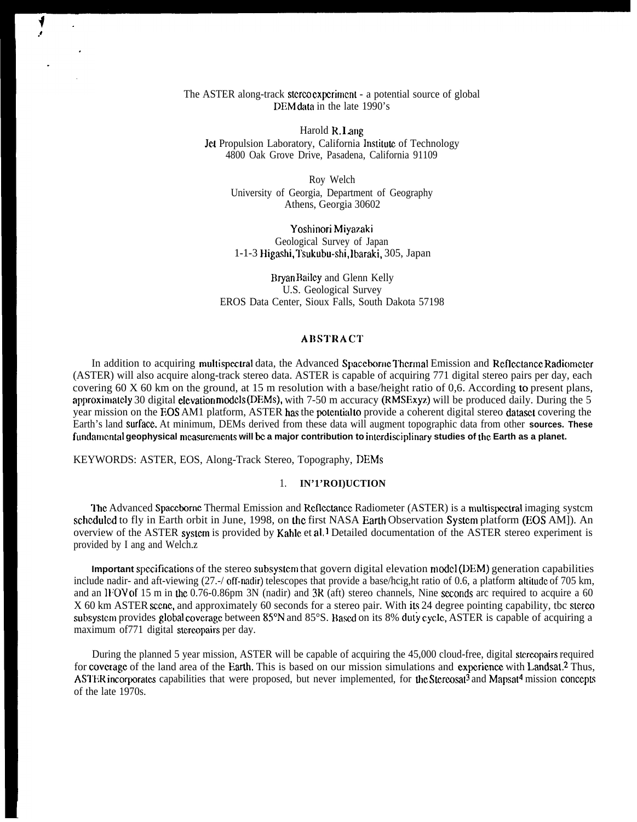## The ASTER along-track stereo experiment - a potential source of global DEM data in the late 1990's

Harold R. I ang Jet Propulsion Laboratory, California Institute of Technology 4800 Oak Grove Drive, Pasadena, California 91109

Roy Welch University of Georgia, Department of Geography Athens, Georgia 30602

Yoshinori Miyazaki Geological Survey of Japan 1-1-3 Higashi, Tsukubu-shi, Ibaraki, 305, Japan

Bryan Bailey and Glenn Kelly U.S. Geological Survey EROS Data Center, Sioux Falls, South Dakota 57198

## **ARSTRACT**

In addition to acquiring multispectral data, the Advanced Spaceborne Thermal Emission and Reflectance Radiometer (ASTER) will also acquire along-track stereo data. ASTER is capable of acquiring 771 digital stereo pairs per day, each covering 60 X 60 km on the ground, at 15 m resolution with a base/height ratio of 0,6. According to present plans, approximately 30 digital elevation models (DEMs), with 7-50 m accuracy (RMSExyz) will be produced daily. During the 5 year mission on the EOS AM1 platform, ASTER has the potential to provide a coherent digital stereo dataset covering the Earth's land surface. At minimum, DEMs derived from these data will augment topographic data from other **sources. These** fundamental geophysical measurements will be a major contribution to interdisciplinary studies of the Earth as a planet.

KEYWORDS: ASTER, EOS, Along-Track Stereo, Topography, DEMs

# 1. **IN'1'ROI)UCTION**

The Advanced Spaceborne Thermal Emission and Reflectance Radiometer (ASTER) is a multispectral imaging system scheduled to fly in Earth orbit in June, 1998, on the first NASA Earth Observation System platform (EOS AM]). An overview of the ASTER system is provided by Kahle et al.<sup>1</sup> Detailed documentation of the ASTER stereo experiment is provided by I ang and Welch.z

**Important specifications** of the stereo subsystem that govern digital elevation model (DEM) generation capabilities include nadir- and aft-viewing (27.-/ off-nadir) telescopes that provide a base/hcig,ht ratio of 0.6, a platform altitude of 705 km, and an IFOV of 15 m in the 0.76-0.86pm 3N (nadir) and  $3R$  (aft) stereo channels, Nine seconds arc required to acquire a 60 X 60 km ASTER scene, and approximately 60 seconds for a stereo pair. With its 24 degree pointing capability, tbc stereo subsystem provides global coverage between 85°N and 85°S. Based on its 8% duty cycle, ASTER is capable of acquiring a maximum of 771 digital stereopairs per day.

During the planned 5 year mission, ASTER will be capable of acquiring the 45,000 cloud-free, digital stercopairs required for coverage of the land area of the Earth. This is based on our mission simulations and experience with Landsat.<sup>2</sup> Thus, ASTER incorporates capabilities that were proposed, but never implemented, for the Stereosat<sup>3</sup> and Mapsat<sup>4</sup> mission concepts of the late 1970s.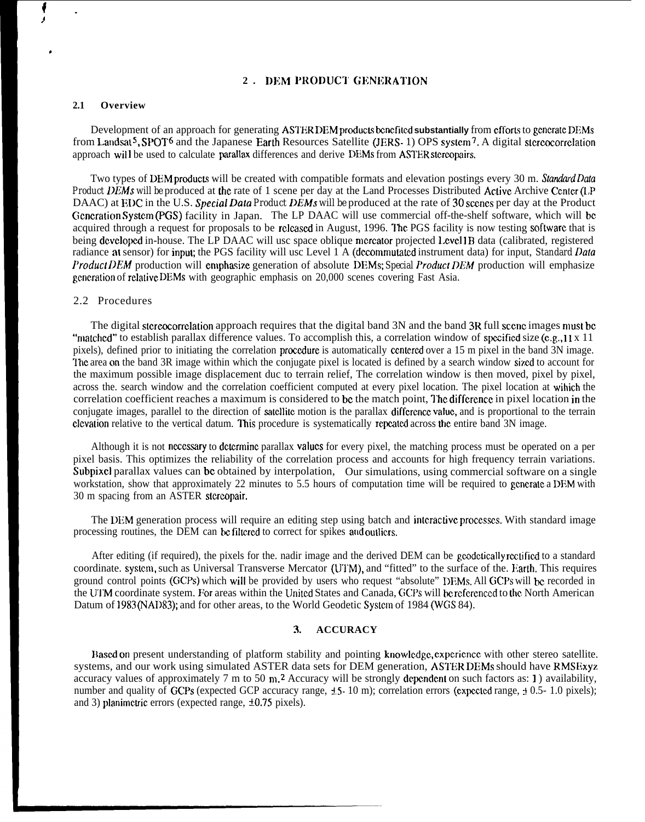#### **2. DEM PRODUCT GENERATION**

#### **2.1 Overview**

Development of an approach for generating ASTER DEM products benefited substantially from efforts to generate DEMs from Landsat<sup>5</sup>, SPOT<sup>6</sup> and the Japanese Earth Resources Satellite (JERS- 1) OPS system<sup>7</sup>, A digital stereocorrelation approach will be used to calculate parallax differences and derive DEMs from ASTER stereopairs.

Two types of DEM products will be created with compatible formats and elevation postings every 30 m. *Standard Data Product DEMs will be* produced at the rate of 1 scene per day at the Land Processes Distributed Active Archive Center (LP DAAC) at EDC in the U.S. Special Data Product DEMs will be produced at the rate of 30 scenes per day at the Product Generation System (PGS) facility in Japan. The LP DAAC will use commercial off-the-shelf software, which will be acquired through a request for proposals to be released in August, 1996. The PGS facility is now testing software that is being developed in-house. The LP DAAC will usc space oblique mercator projected Level1B data (calibrated, registered radiance at sensor) for input; the PGS facility will usc Level 1 A (dccommutated instrument data) for input, *Standard Data Product DEM* production will emphasize generation of absolute DEMs; *Special Product DEM* production will emphasize generation of relative DEMs with geographic emphasis on 20,000 scenes covering Fast Asia.

### 2.2 Procedures

The digital stereocorrelation approach requires that the digital band 3N and the band 3R full scene images must be "matched" to establish parallax difference values. To accomplish this, a correlation window of specified size (e.g., 11 x 11) pixels), defined prior to initiating the correlation procedure is automatically centered over a 15 m pixel in the band 3N image. The area on the band 3R image within which the conjugate pixel is located is defined by a search window sized to account for the maximum possible image displacement duc to terrain relief, The correlation window is then moved, pixel by pixel, across the. search window and the correlation coefficient computed at every pixel location. The pixel location at wihich the correlation coefficient reaches a maximum is considered to be the match point, The difference in pixel location in the conjugate images, parallel to the direction of satellite motion is the parallax difference value, and is proportional to the terrain clevation relative to the vertical datum. This procedure is systematically repeated across the entire band 3N image.

Although it is not necessary to determine parallax values for every pixel, the matching process must be operated on a per pixel basis. This optimizes the reliability of the correlation process and accounts for high frequency terrain variations. Subpixel parallax values can be obtained by interpolation, Our simulations, using commercial software on a single workstation, show that approximately 22 minutes to 5.5 hours of computation time will be required to generate a DEM with 30 m spacing from an ASTER stcrcopair,

The DEM generation process will require an editing step using batch and interactive processes. With standard image processing routines, the DEM can be filtered to correct for spikes and outliers.

After editing (if required), the pixels for the, nadir image and the derived DEM can be geodetically rectified to a standard coordinate. system, such as Universal Transverse Mercator (UTM), and "fitted" to the surface of the. Harth. This requires ground control points (GCPs) which will be provided by users who request "absolute" DEMs. All GCPs will be recorded in the UTM coordinate system. For areas within the United States and Canada, GCPs will be referenced to the North American Datum of 1983 (NAD83); and for other areas, to the World Geodetic Systcm of 1984 (WGS 84).

#### **3. . ACCURACY**

Based on present understanding of platform stability and pointing knowledge, experience with other stereo satellite. systems, and our work using simulated ASTER data sets for DEM generation, ASTER DEMs should have RMSExyz accuracy values of approximately  $7 \text{ m}$  to  $50 \text{ m}$ . Accuracy will be strongly dependent on such factors as: 1) availability, number and quality of GCPs (expected GCP accuracy range,  $\pm$  5- 10 m); correlation errors (expected range,  $\pm$  0.5- 1.0 pixels); and 3) planimetric errors (expected range,  $\pm 0.75$  pixels).